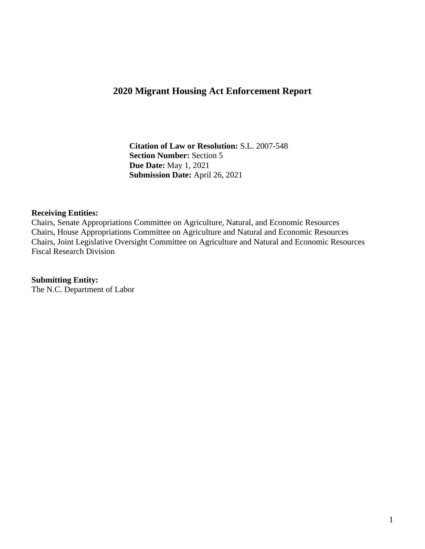## **2020 Migrant Housing Act Enforcement Report**

 **Citation of Law or Resolution:** S.L. 2007-548  **Section Number:** Section 5 **Due Date:** May 1, 2021 **Submission Date:** April 26, 2021

#### **Receiving Entities:**

Chairs, Senate Appropriations Committee on Agriculture, Natural, and Economic Resources Chairs, House Appropriations Committee on Agriculture and Natural and Economic Resources Chairs, Joint Legislative Oversight Committee on Agriculture and Natural and Economic Resources Fiscal Research Division

#### **Submitting Entity:**

The N.C. Department of Labor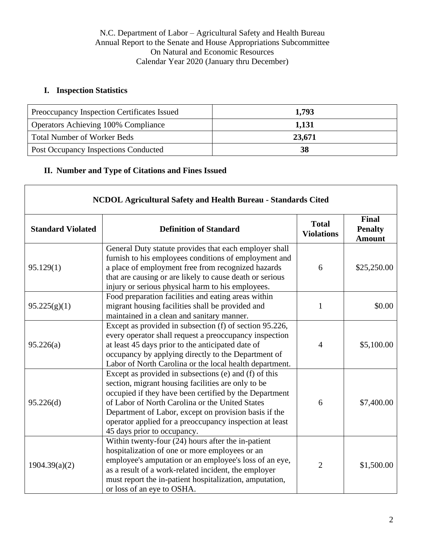N.C. Department of Labor – Agricultural Safety and Health Bureau Annual Report to the Senate and House Appropriations Subcommittee On Natural and Economic Resources Calendar Year 2020 (January thru December)

### **I. Inspection Statistics**

| Preoccupancy Inspection Certificates Issued | 1,793  |
|---------------------------------------------|--------|
| <b>Operators Achieving 100% Compliance</b>  | 1,131  |
| <b>Total Number of Worker Beds</b>          | 23,671 |
| Post Occupancy Inspections Conducted        | 38     |

### **II. Number and Type of Citations and Fines Issued**

| <b>Standard Violated</b> | <b>Definition of Standard</b>                                                                                                                                                                                                                                                                                                                                               | <b>Total</b><br><b>Violations</b> | <b>Final</b><br><b>Penalty</b><br><b>Amount</b> |
|--------------------------|-----------------------------------------------------------------------------------------------------------------------------------------------------------------------------------------------------------------------------------------------------------------------------------------------------------------------------------------------------------------------------|-----------------------------------|-------------------------------------------------|
| 95.129(1)                | General Duty statute provides that each employer shall<br>furnish to his employees conditions of employment and<br>a place of employment free from recognized hazards<br>that are causing or are likely to cause death or serious<br>injury or serious physical harm to his employees.                                                                                      | 6                                 | \$25,250.00                                     |
| 95.225(g)(1)             | Food preparation facilities and eating areas within<br>migrant housing facilities shall be provided and<br>maintained in a clean and sanitary manner.                                                                                                                                                                                                                       | 1                                 | \$0.00                                          |
| 95.226(a)                | Except as provided in subsection (f) of section 95.226,<br>every operator shall request a preoccupancy inspection<br>at least 45 days prior to the anticipated date of<br>occupancy by applying directly to the Department of<br>Labor of North Carolina or the local health department.                                                                                    | $\overline{4}$                    | \$5,100.00                                      |
| 95.226(d)                | Except as provided in subsections (e) and (f) of this<br>section, migrant housing facilities are only to be<br>occupied if they have been certified by the Department<br>of Labor of North Carolina or the United States<br>Department of Labor, except on provision basis if the<br>operator applied for a preoccupancy inspection at least<br>45 days prior to occupancy. | 6                                 | \$7,400.00                                      |
| 1904.39(a)(2)            | Within twenty-four $(24)$ hours after the in-patient<br>hospitalization of one or more employees or an<br>employee's amputation or an employee's loss of an eye,<br>as a result of a work-related incident, the employer<br>must report the in-patient hospitalization, amputation,<br>or loss of an eye to OSHA.                                                           | $\overline{2}$                    | \$1,500.00                                      |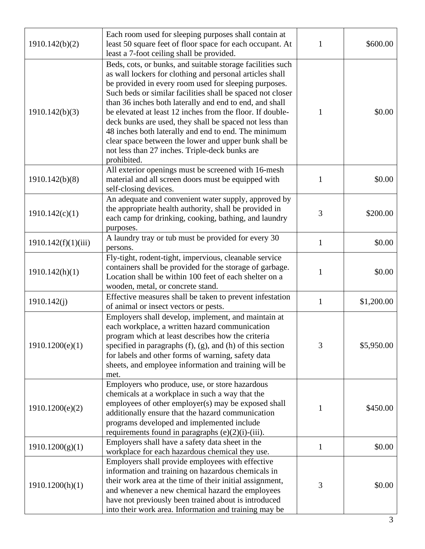| 1910.142(b)(2)      | Each room used for sleeping purposes shall contain at<br>least 50 square feet of floor space for each occupant. At<br>least a 7-foot ceiling shall be provided.                                                                                                                                                                                                                                                                                                                                                                                                                                                    | 1            | \$600.00   |
|---------------------|--------------------------------------------------------------------------------------------------------------------------------------------------------------------------------------------------------------------------------------------------------------------------------------------------------------------------------------------------------------------------------------------------------------------------------------------------------------------------------------------------------------------------------------------------------------------------------------------------------------------|--------------|------------|
| 1910.142(b)(3)      | Beds, cots, or bunks, and suitable storage facilities such<br>as wall lockers for clothing and personal articles shall<br>be provided in every room used for sleeping purposes.<br>Such beds or similar facilities shall be spaced not closer<br>than 36 inches both laterally and end to end, and shall<br>be elevated at least 12 inches from the floor. If double-<br>deck bunks are used, they shall be spaced not less than<br>48 inches both laterally and end to end. The minimum<br>clear space between the lower and upper bunk shall be<br>not less than 27 inches. Triple-deck bunks are<br>prohibited. | 1            | \$0.00     |
| 1910.142(b)(8)      | All exterior openings must be screened with 16-mesh<br>material and all screen doors must be equipped with<br>self-closing devices.                                                                                                                                                                                                                                                                                                                                                                                                                                                                                | 1            | \$0.00     |
| 1910.142(c)(1)      | An adequate and convenient water supply, approved by<br>the appropriate health authority, shall be provided in<br>each camp for drinking, cooking, bathing, and laundry<br>purposes.                                                                                                                                                                                                                                                                                                                                                                                                                               | 3            | \$200.00   |
| 1910.142(f)(1)(iii) | A laundry tray or tub must be provided for every 30<br>persons.                                                                                                                                                                                                                                                                                                                                                                                                                                                                                                                                                    | $\mathbf{1}$ | \$0.00     |
| 1910.142(h)(1)      | Fly-tight, rodent-tight, impervious, cleanable service<br>containers shall be provided for the storage of garbage.<br>Location shall be within 100 feet of each shelter on a<br>wooden, metal, or concrete stand.                                                                                                                                                                                                                                                                                                                                                                                                  | 1            | \$0.00     |
| 1910.142(j)         | Effective measures shall be taken to prevent infestation<br>of animal or insect vectors or pests.                                                                                                                                                                                                                                                                                                                                                                                                                                                                                                                  | $\mathbf{1}$ | \$1,200.00 |
| 1910.1200(e)(1)     | Employers shall develop, implement, and maintain at<br>each workplace, a written hazard communication<br>program which at least describes how the criteria<br>specified in paragraphs $(f)$ , $(g)$ , and $(h)$ of this section<br>for labels and other forms of warning, safety data<br>sheets, and employee information and training will be<br>met.                                                                                                                                                                                                                                                             | 3            | \$5,950.00 |
| 1910.1200(e)(2)     | Employers who produce, use, or store hazardous<br>chemicals at a workplace in such a way that the<br>employees of other employer(s) may be exposed shall<br>additionally ensure that the hazard communication<br>programs developed and implemented include<br>requirements found in paragraphs $(e)(2)(i)$ -(iii).                                                                                                                                                                                                                                                                                                | 1            | \$450.00   |
| 1910.1200(g)(1)     | Employers shall have a safety data sheet in the<br>workplace for each hazardous chemical they use.                                                                                                                                                                                                                                                                                                                                                                                                                                                                                                                 | 1            | \$0.00     |
| 1910.1200(h)(1)     | Employers shall provide employees with effective<br>information and training on hazardous chemicals in<br>their work area at the time of their initial assignment,<br>and whenever a new chemical hazard the employees<br>have not previously been trained about is introduced<br>into their work area. Information and training may be                                                                                                                                                                                                                                                                            | 3            | \$0.00     |